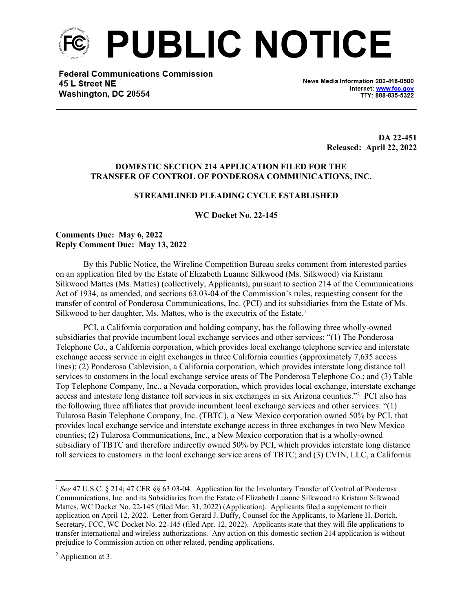

**Federal Communications Commission** 45 L Street NE Washington, DC 20554

News Media Information 202-418-0500 Internet: www.fcc.gov TTY: 888-835-5322

> **DA 22-451 Released: April 22, 2022**

# **DOMESTIC SECTION 214 APPLICATION FILED FOR THE TRANSFER OF CONTROL OF PONDEROSA COMMUNICATIONS, INC.**

## **STREAMLINED PLEADING CYCLE ESTABLISHED**

**WC Docket No. 22-145**

# **Comments Due: May 6, 2022 Reply Comment Due: May 13, 2022**

By this Public Notice, the Wireline Competition Bureau seeks comment from interested parties on an application filed by the Estate of Elizabeth Luanne Silkwood (Ms. Silkwood) via Kristann Silkwood Mattes (Ms. Mattes) (collectively, Applicants), pursuant to section 214 of the Communications Act of 1934, as amended, and sections 63.03-04 of the Commission's rules, requesting consent for the transfer of control of Ponderosa Communications, Inc. (PCI) and its subsidiaries from the Estate of Ms. Silkwood to her daughter, Ms. Mattes, who is the executrix of the Estate.<sup>1</sup>

PCI, a California corporation and holding company, has the following three wholly-owned subsidiaries that provide incumbent local exchange services and other services: "(1) The Ponderosa Telephone Co., a California corporation, which provides local exchange telephone service and interstate exchange access service in eight exchanges in three California counties (approximately 7,635 access lines); (2) Ponderosa Cablevision, a California corporation, which provides interstate long distance toll services to customers in the local exchange service areas of The Ponderosa Telephone Co.; and (3) Table Top Telephone Company, Inc., a Nevada corporation, which provides local exchange, interstate exchange access and intestate long distance toll services in six exchanges in six Arizona counties."<sup>2</sup> PCI also has the following three affiliates that provide incumbent local exchange services and other services: "(1) Tularosa Basin Telephone Company, Inc. (TBTC), a New Mexico corporation owned 50% by PCI, that provides local exchange service and interstate exchange access in three exchanges in two New Mexico counties; (2) Tularosa Communications, Inc., a New Mexico corporation that is a wholly-owned subsidiary of TBTC and therefore indirectly owned 50% by PCI, which provides interstate long distance toll services to customers in the local exchange service areas of TBTC; and (3) CVIN, LLC, a California

<sup>&</sup>lt;sup>1</sup> See 47 U.S.C. § 214; 47 CFR §§ 63.03-04. Application for the Involuntary Transfer of Control of Ponderosa Communications, Inc. and its Subsidiaries from the Estate of Elizabeth Luanne Silkwood to Kristann Silkwood Mattes, WC Docket No. 22-145 (filed Mar. 31, 2022) (Application). Applicants filed a supplement to their application on April 12, 2022. Letter from Gerard J. Duffy, Counsel for the Applicants, to Marlene H. Dortch, Secretary, FCC, WC Docket No. 22-145 (filed Apr. 12, 2022). Applicants state that they will file applications to transfer international and wireless authorizations. Any action on this domestic section 214 application is without prejudice to Commission action on other related, pending applications.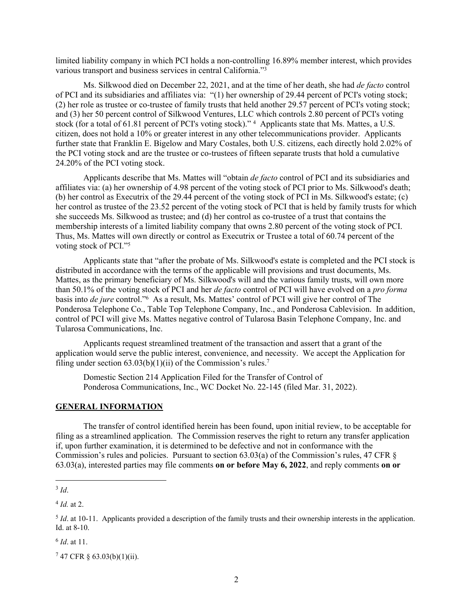limited liability company in which PCI holds a non-controlling 16.89% member interest, which provides various transport and business services in central California."<sup>3</sup>

Ms. Silkwood died on December 22, 2021, and at the time of her death, she had *de facto* control of PCI and its subsidiaries and affiliates via: "(1) her ownership of 29.44 percent of PCI's voting stock; (2) her role as trustee or co-trustee of family trusts that held another 29.57 percent of PCI's voting stock; and (3) her 50 percent control of Silkwood Ventures, LLC which controls 2.80 percent of PCI's voting stock (for a total of 61.81 percent of PCI's voting stock)." <sup>4</sup> Applicants state that Ms. Mattes, a U.S. citizen, does not hold a 10% or greater interest in any other telecommunications provider. Applicants further state that Franklin E. Bigelow and Mary Costales, both U.S. citizens, each directly hold 2.02% of the PCI voting stock and are the trustee or co-trustees of fifteen separate trusts that hold a cumulative 24.20% of the PCI voting stock.

Applicants describe that Ms. Mattes will "obtain *de facto* control of PCI and its subsidiaries and affiliates via: (a) her ownership of 4.98 percent of the voting stock of PCI prior to Ms. Silkwood's death; (b) her control as Executrix of the 29.44 percent of the voting stock of PCI in Ms. Silkwood's estate; (c) her control as trustee of the 23.52 percent of the voting stock of PCI that is held by family trusts for which she succeeds Ms. Silkwood as trustee; and (d) her control as co-trustee of a trust that contains the membership interests of a limited liability company that owns 2.80 percent of the voting stock of PCI. Thus, Ms. Mattes will own directly or control as Executrix or Trustee a total of 60.74 percent of the voting stock of PCI."<sup>5</sup>

Applicants state that "after the probate of Ms. Silkwood's estate is completed and the PCI stock is distributed in accordance with the terms of the applicable will provisions and trust documents, Ms. Mattes, as the primary beneficiary of Ms. Silkwood's will and the various family trusts, will own more than 50.1% of the voting stock of PCI and her *de facto* control of PCI will have evolved on a *pro forma* basis into *de jure* control."<sup>6</sup> As a result, Ms. Mattes' control of PCI will give her control of The Ponderosa Telephone Co., Table Top Telephone Company, Inc., and Ponderosa Cablevision. In addition, control of PCI will give Ms. Mattes negative control of Tularosa Basin Telephone Company, Inc. and Tularosa Communications, Inc.

Applicants request streamlined treatment of the transaction and assert that a grant of the application would serve the public interest, convenience, and necessity. We accept the Application for filing under section  $63.03(b)(1)(ii)$  of the Commission's rules.<sup>7</sup>

Domestic Section 214 Application Filed for the Transfer of Control of Ponderosa Communications, Inc., WC Docket No. 22-145 (filed Mar. 31, 2022).

#### **GENERAL INFORMATION**

The transfer of control identified herein has been found, upon initial review, to be acceptable for filing as a streamlined application. The Commission reserves the right to return any transfer application if, upon further examination, it is determined to be defective and not in conformance with the Commission's rules and policies. Pursuant to section 63.03(a) of the Commission's rules, 47 CFR § 63.03(a), interested parties may file comments **on or before May 6, 2022**, and reply comments **on or** 

6 *Id*. at 11.

<sup>3</sup> *Id*.

<sup>4</sup> *Id.* at 2.

<sup>&</sup>lt;sup>5</sup> *Id*. at 10-11. Applicants provided a description of the family trusts and their ownership interests in the application. Id. at 8-10.

<sup>7</sup> 47 CFR § 63.03(b)(1)(ii).